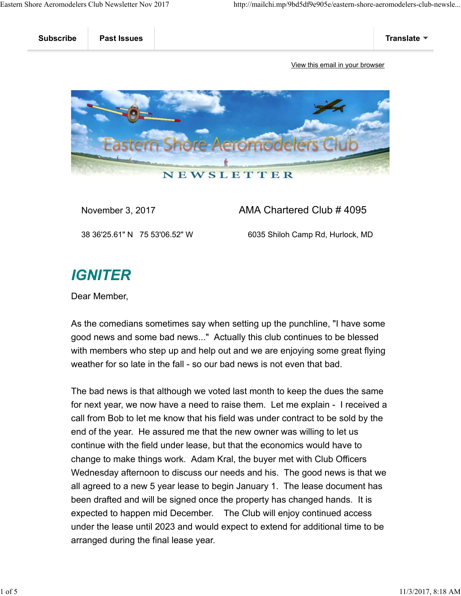

November 3, 2017 **AMA Chartered Club # 4095** 

38 36'25.61" N 75 53'06.52" W 6035 Shiloh Camp Rd, Hurlock, MD

## **IGNITER**

Dear Member,

As the comedians sometimes say when setting up the punchline, "I have some good news and some bad news..." Actually this club continues to be blessed with members who step up and help out and we are enjoying some great flying weather for so late in the fall - so our bad news is not even that bad.

The bad news is that although we voted last month to keep the dues the same for next year, we now have a need to raise them. Let me explain - I received a call from Bob to let me know that his field was under contract to be sold by the end of the year. He assured me that the new owner was willing to let us continue with the field under lease, but that the economics would have to change to make things work. Adam Kral, the buyer met with Club Officers Wednesday afternoon to discuss our needs and his. The good news is that we all agreed to a new 5 year lease to begin January 1. The lease document has been drafted and will be signed once the property has changed hands. It is expected to happen mid December. The Club will enjoy continued access under the lease until 2023 and would expect to extend for additional time to be arranged during the final lease year.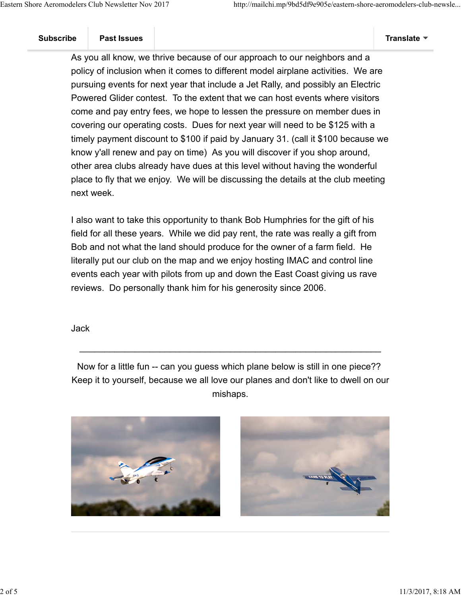As you all know, we thrive because of our approach to our neighbors and a policy of inclusion when it comes to different model airplane activities. We are pursuing events for next year that include a Jet Rally, and possibly an Electric Powered Glider contest. To the extent that we can host events where visitors come and pay entry fees, we hope to lessen the pressure on member dues in covering our operating costs. Dues for next year will need to be \$125 with a timely payment discount to \$100 if paid by January 31. (call it \$100 because we know y'all renew and pay on time) As you will discover if you shop around, other area clubs already have dues at this level without having the wonderful place to fly that we enjoy. We will be discussing the details at the club meeting next week.

I also want to take this opportunity to thank Bob Humphries for the gift of his field for all these years. While we did pay rent, the rate was really a gift from Bob and not what the land should produce for the owner of a farm field. He literally put our club on the map and we enjoy hosting IMAC and control line events each year with pilots from up and down the East Coast giving us rave reviews. Do personally thank him for his generosity since 2006.

Jack

Now for a little fun -- can you guess which plane below is still in one piece?? Keep it to yourself, because we all love our planes and don't like to dwell on our mishaps.

 $\mathcal{L}_\text{G}$  , and the contribution of the contribution of the contribution of the contribution of the contribution of the contribution of the contribution of the contribution of the contribution of the contribution of t



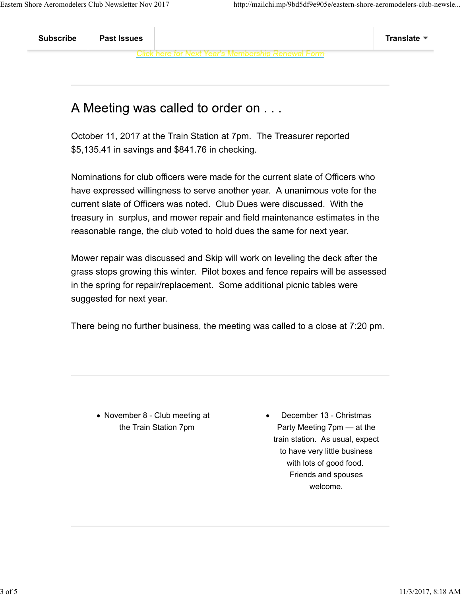## A Meeting was called to order on . . .

October 11, 2017 at the Train Station at 7pm. The Treasurer reported \$5,135.41 in savings and \$841.76 in checking.

Nominations for club officers were made for the current slate of Officers who have expressed willingness to serve another year. A unanimous vote for the current slate of Officers was noted. Club Dues were discussed. With the treasury in surplus, and mower repair and field maintenance estimates in the reasonable range, the club voted to hold dues the same for next year.

Mower repair was discussed and Skip will work on leveling the deck after the grass stops growing this winter. Pilot boxes and fence repairs will be assessed in the spring for repair/replacement. Some additional picnic tables were suggested for next year.

There being no further business, the meeting was called to a close at 7:20 pm.

• November 8 - Club meeting at the Train Station 7pm

December 13 - Christmas Party Meeting 7pm — at the train station. As usual, expect to have very little business with lots of good food. Friends and spouses welcome.